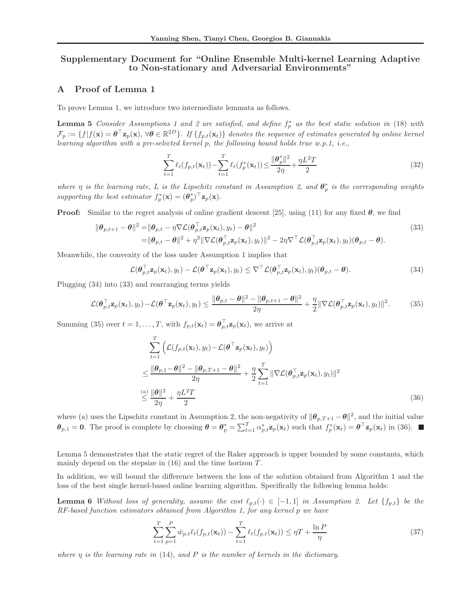### Supplementary Document for "Online Ensemble Multi-kernel Learning Adaptive to Non-stationary and Adversarial Environments"

### A Proof of Lemma 1

To prove Lemma 1, we introduce two intermediate lemmata as follows.

**Lemma 5** *Consider Assumptions 1 and 2 are satisfied, and define*  $f_p^*$  *as the best static solution in* (18) *with*  $\mathcal{F}_p:=\{f|f(\mathbf{x})=\boldsymbol{\theta}^\top \mathbf{z}_p(\mathbf{x}), \, \forall \boldsymbol{\theta} \in \mathbb{R}^{2D}\}$ . If  $\{f_{p,t}(\mathbf{x}_t)\}$  denotes the sequence of estimates generated by online kernel *learning algorithm with a pre-selected kernel* p*, the following bound holds true w.p.1, i.e.,*

$$
\sum_{t=1}^{T} \ell_t(f_{p,t}(\mathbf{x}_t)) - \sum_{t=1}^{T} \ell_t(f_p^*(\mathbf{x}_t)) \le \frac{\|\theta_p^*\|^2}{2\eta} + \frac{\eta L^2 T}{2}
$$
\n(32)

where  $\eta$  is the learning rate, L is the Lipschitz constant in Assumption 2, and  $\theta_p^*$  is the corresponding weights supporting the best estimator  $f_p^*(\mathbf{x}) = (\boldsymbol{\theta}_p^*)^\top \mathbf{z}_p(\mathbf{x})$ .

**Proof:** Similar to the regret analysis of online gradient descent [25], using (11) for any fixed  $\theta$ , we find

$$
\|\boldsymbol{\theta}_{p,t+1} - \boldsymbol{\theta}\|^2 = \|\boldsymbol{\theta}_{p,t} - \eta \nabla \mathcal{L}(\boldsymbol{\theta}_{p,t}^{\top} \mathbf{z}_p(\mathbf{x}_t), y_t) - \boldsymbol{\theta}\|^2
$$
\n
$$
= \|\boldsymbol{\theta}_{p,t} - \boldsymbol{\theta}\|^2 + \eta^2 \|\nabla \mathcal{L}(\boldsymbol{\theta}_{p,t}^{\top} \mathbf{z}_p(\mathbf{x}_t), y_t)\|^2 - 2\eta \nabla^{\top} \mathcal{L}(\boldsymbol{\theta}_{p,t}^{\top} \mathbf{z}_p(\mathbf{x}_t), y_t)(\boldsymbol{\theta}_{p,t} - \boldsymbol{\theta}).
$$
\n(33)

Meanwhile, the convexity of the loss under Assumption 1 implies that

$$
\mathcal{L}(\boldsymbol{\theta}_{p,t}^{\top}\mathbf{z}_p(\mathbf{x}_t), y_t) - \mathcal{L}(\boldsymbol{\theta}^{\top}\mathbf{z}_p(\mathbf{x}_t), y_t) \leq \nabla^{\top} \mathcal{L}(\boldsymbol{\theta}_{p,t}^{\top}\mathbf{z}_p(\mathbf{x}_t), y_t) (\boldsymbol{\theta}_{p,t} - \boldsymbol{\theta}). \tag{34}
$$

Plugging (34) into (33) and rearranging terms yields

$$
\mathcal{L}(\boldsymbol{\theta}_{p,t}^{\top}\mathbf{z}_{p}(\mathbf{x}_{t}),y_{t}) - \mathcal{L}(\boldsymbol{\theta}^{\top}\mathbf{z}_{p}(\mathbf{x}_{t}),y_{t}) \leq \frac{\|\boldsymbol{\theta}_{p,t} - \boldsymbol{\theta}\|^{2} - \|\boldsymbol{\theta}_{p,t+1} - \boldsymbol{\theta}\|^{2}}{2\eta} + \frac{\eta}{2}\|\nabla\mathcal{L}(\boldsymbol{\theta}_{p,t}^{\top}\mathbf{z}_{p}(\mathbf{x}_{t}),y_{t})\|^{2}.
$$
 (35)

Summing (35) over  $t = 1, ..., T$ , with  $f_{p,t}(\mathbf{x}_t) = \boldsymbol{\theta}_{p,t}^{\top} \mathbf{z}_p(\mathbf{x}_t)$ , we arrive at

$$
\sum_{t=1}^{T} \left( \mathcal{L}(f_{p,t}(\mathbf{x}_t), y_t) - \mathcal{L}(\boldsymbol{\theta}^{\top} \mathbf{z}_p(\mathbf{x}_t), y_t) \right)
$$
\n
$$
\leq \frac{\|\boldsymbol{\theta}_{p,1} - \boldsymbol{\theta}\|^2 - \|\boldsymbol{\theta}_{p,T+1} - \boldsymbol{\theta}\|^2}{2\eta} + \frac{\eta}{2} \sum_{t=1}^{T} \|\nabla \mathcal{L}(\boldsymbol{\theta}_{p,t}^{\top} \mathbf{z}_p(\mathbf{x}_t), y_t)\|^2
$$
\n
$$
\leq \frac{\|\boldsymbol{\theta}\|^2}{2\eta} + \frac{\eta L^2 T}{2} \tag{36}
$$

where (a) uses the Lipschitz constant in Assumption 2, the non-negativity of  $\|\boldsymbol{\theta}_{p,T+1} - \boldsymbol{\theta}\|^2$ , and the initial value  $\theta_{p,1} = 0$ . The proof is complete by choosing  $\theta = \theta_p^* = \sum_{t=1}^T \alpha_{p,t}^* \mathbf{z}_p(\mathbf{x}_t)$  such that  $f_p^*(\mathbf{x}_t) = \theta^\top \mathbf{z}_p(\mathbf{x}_t)$  in (36).

Lemma 5 demonstrates that the static regret of the Raker approach is upper bounded by some constants, which mainly depend on the stepsize in  $(16)$  and the time horizon  $T$ .

In addition, we will bound the difference between the loss of the solution obtained from Algorithm 1 and the loss of the best single kernel-based online learning algorithm. Specifically the following lemma holds:

**Lemma 6** *Without loss of generality, assume the cost*  $\ell_{p,t}(\cdot) \in [-1,1]$  *in Assumption 2. Let*  $\{f_{p,t}\}$  *be the RF-based function estimators obtained from Algorithm 1, for any kernel* p *we have*

$$
\sum_{t=1}^{T} \sum_{p=1}^{P} \bar{w}_{p,t} \ell_t(f_{p,t}(\mathbf{x}_t)) - \sum_{t=1}^{T} \ell_t(f_{p,t}(\mathbf{x}_t)) \le \eta T + \frac{\ln P}{\eta}
$$
\n(37)

*where* η *is the learning rate in* (14)*, and* P *is the number of kernels in the dictionary.*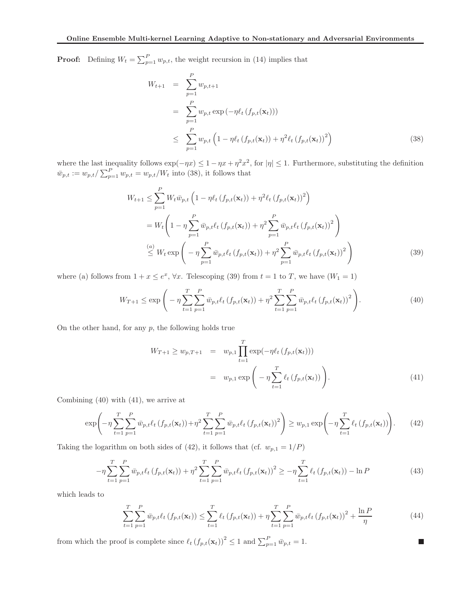**Proof:** Defining  $W_t = \sum_{p=1}^P w_{p,t}$ , the weight recursion in (14) implies that

$$
W_{t+1} = \sum_{p=1}^{P} w_{p,t+1}
$$
  
= 
$$
\sum_{p=1}^{P} w_{p,t} \exp(-\eta \ell_t (f_{p,t}(\mathbf{x}_t)))
$$
  

$$
\leq \sum_{p=1}^{P} w_{p,t} \left(1 - \eta \ell_t (f_{p,t}(\mathbf{x}_t)) + \eta^2 \ell_t (f_{p,t}(\mathbf{x}_t))^2\right)
$$
(38)

where the last inequality follows  $\exp(-\eta x) \leq 1 - \eta x + \eta^2 x^2$ , for  $|\eta| \leq 1$ . Furthermore, substituting the definition  $\bar{w}_{p,t} := w_{p,t} / \sum_{p=1}^{P} w_{p,t} = w_{p,t} / W_t$  into (38), it follows that

$$
W_{t+1} \leq \sum_{p=1}^{P} W_t \bar{w}_{p,t} \left( 1 - \eta \ell_t \left( f_{p,t}(\mathbf{x}_t) \right) + \eta^2 \ell_t \left( f_{p,t}(\mathbf{x}_t) \right)^2 \right)
$$
  
=  $W_t \left( 1 - \eta \sum_{p=1}^{P} \bar{w}_{p,t} \ell_t \left( f_{p,t}(\mathbf{x}_t) \right) + \eta^2 \sum_{p=1}^{P} \bar{w}_{p,t} \ell_t \left( f_{p,t}(\mathbf{x}_t) \right)^2 \right)$   

$$
\leq W_t \exp \left( -\eta \sum_{p=1}^{P} \bar{w}_{p,t} \ell_t \left( f_{p,t}(\mathbf{x}_t) \right) + \eta^2 \sum_{p=1}^{P} \bar{w}_{p,t} \ell_t \left( f_{p,t}(\mathbf{x}_t) \right)^2 \right)
$$
(39)

where (a) follows from  $1 + x \le e^x$ ,  $\forall x$ . Telescoping (39) from  $t = 1$  to T, we have  $(W_1 = 1)$ 

$$
W_{T+1} \le \exp\left(-\eta \sum_{t=1}^{T} \sum_{p=1}^{P} \bar{w}_{p,t} \ell_t \left(f_{p,t}(\mathbf{x}_t)\right) + \eta^2 \sum_{t=1}^{T} \sum_{p=1}^{P} \bar{w}_{p,t} \ell_t \left(f_{p,t}(\mathbf{x}_t)\right)^2\right).
$$
(40)

On the other hand, for any  $p$ , the following holds true

$$
W_{T+1} \ge w_{p,T+1} = w_{p,1} \prod_{t=1}^{T} \exp(-\eta \ell_t (f_{p,t}(\mathbf{x}_t)))
$$
  
=  $w_{p,1} \exp\left(-\eta \sum_{t=1}^{T} \ell_t (f_{p,t}(\mathbf{x}_t))\right).$  (41)

Combining (40) with (41), we arrive at

$$
\exp\left(-\eta \sum_{t=1}^{T} \sum_{p=1}^{P} \bar{w}_{p,t} \ell_{t} \left(f_{p,t}(\mathbf{x}_{t})\right) + \eta^{2} \sum_{t=1}^{T} \sum_{p=1}^{P} \bar{w}_{p,t} \ell_{t} \left(f_{p,t}(\mathbf{x}_{t})\right)^{2}\right) \geq w_{p,1} \exp\left(-\eta \sum_{t=1}^{T} \ell_{t} \left(f_{p,t}(\mathbf{x}_{t})\right)\right). \tag{42}
$$

Taking the logarithm on both sides of (42), it follows that (cf.  $w_{p,1} = 1/P$ )

$$
-\eta \sum_{t=1}^{T} \sum_{p=1}^{P} \bar{w}_{p,t} \ell_t \left(f_{p,t}(\mathbf{x}_t)\right) + \eta^2 \sum_{t=1}^{T} \sum_{p=1}^{P} \bar{w}_{p,t} \ell_t \left(f_{p,t}(\mathbf{x}_t)\right)^2 \ge -\eta \sum_{t=1}^{T} \ell_t \left(f_{p,t}(\mathbf{x}_t)\right) - \ln P \tag{43}
$$

which leads to

$$
\sum_{t=1}^{T} \sum_{p=1}^{P} \bar{w}_{p,t} \ell_t \left( f_{p,t}(\mathbf{x}_t) \right) \le \sum_{t=1}^{T} \ell_t \left( f_{p,t}(\mathbf{x}_t) \right) + \eta \sum_{t=1}^{T} \sum_{p=1}^{P} \bar{w}_{p,t} \ell_t \left( f_{p,t}(\mathbf{x}_t) \right)^2 + \frac{\ln P}{\eta} \tag{44}
$$

 $\Box$ 

from which the proof is complete since  $\ell_t (f_{p,t}(\mathbf{x}_t))^2 \leq 1$  and  $\sum_{p=1}^P \bar{w}_{p,t} = 1$ .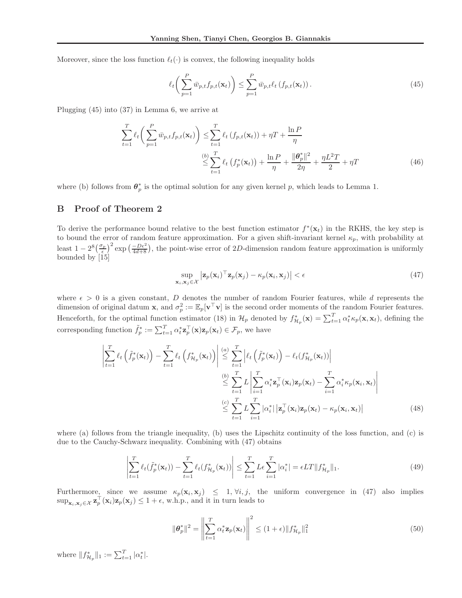Moreover, since the loss function  $\ell_t(\cdot)$  is convex, the following inequality holds

$$
\ell_t\left(\sum_{p=1}^P \bar{w}_{p,t} f_{p,t}(\mathbf{x}_t)\right) \le \sum_{p=1}^P \bar{w}_{p,t} \ell_t\left(f_{p,t}(\mathbf{x}_t)\right). \tag{45}
$$

Plugging (45) into (37) in Lemma 6, we arrive at

$$
\sum_{t=1}^{T} \ell_t \left( \sum_{p=1}^{P} \bar{w}_{p,t} f_{p,t}(\mathbf{x}_t) \right) \leq \sum_{t=1}^{T} \ell_t \left( f_{p,t}(\mathbf{x}_t) \right) + \eta T + \frac{\ln P}{\eta}
$$
\n
$$
\leq \sum_{t=1}^{(b)} \ell_t \left( f_p^*(\mathbf{x}_t) \right) + \frac{\ln P}{\eta} + \frac{\|\theta_p^*\|^2}{2\eta} + \frac{\eta L^2 T}{2} + \eta T \tag{46}
$$

where (b) follows from  $\theta_p^*$  is the optimal solution for any given kernel p, which leads to Lemma 1.

#### B Proof of Theorem 2

To derive the performance bound relative to the best function estimator  $f^*(\mathbf{x}_t)$  in the RKHS, the key step is to bound the error of random feature approximation. For a given shift-invariant kernel  $\kappa_p$ , with probability at least  $1 - 2^8 \left(\frac{\sigma_p}{\epsilon}\right)^2$  exp  $\left(\frac{-De^2}{4d+8}\right)$ , the point-wise error of 2D-dimension random feature approximation is uniformly bounded by [15]

$$
\sup_{\mathbf{x}_i, \mathbf{x}_j \in \mathcal{X}} \left| \mathbf{z}_p(\mathbf{x}_i)^\top \mathbf{z}_p(\mathbf{x}_j) - \kappa_p(\mathbf{x}_i, \mathbf{x}_j) \right| < \epsilon \tag{47}
$$

where  $\epsilon > 0$  is a given constant, D denotes the number of random Fourier features, while d represents the dimension of original datum **x**, and  $\sigma_p^2 := \mathbb{E}_p[\mathbf{v}^\top \mathbf{v}]$  is the second order moments of the random Fourier features. Henceforth, for the optimal function estimator (18) in  $\mathcal{H}_p$  denoted by  $f_{\mathcal{H}_p}^*(\mathbf{x}) = \sum_{t=1}^T \alpha_t^* \kappa_p(\mathbf{x}, \mathbf{x}_t)$ , defining the corresponding function  $\tilde{f}_p^* := \sum_{t=1}^T \alpha_t^* \mathbf{z}_p^\top(\mathbf{x}) \mathbf{z}_p(\mathbf{x}_t) \in \mathcal{F}_p$ , we have

$$
\left| \sum_{t=1}^{T} \ell_{t} \left( \tilde{f}_{p}^{*}(\mathbf{x}_{t}) \right) - \sum_{t=1}^{T} \ell_{t} \left( f_{\mathcal{H}_{p}}^{*}(\mathbf{x}_{t}) \right) \right| \stackrel{(a)}{\leq} \sum_{t=1}^{T} \left| \ell_{t} \left( \tilde{f}_{p}^{*}(\mathbf{x}_{t}) \right) - \ell_{t} (f_{\mathcal{H}_{p}}^{*}(\mathbf{x}_{t})) \right|
$$
\n
$$
\stackrel{(b)}{\leq} \sum_{t=1}^{T} L \left| \sum_{i=1}^{T} \alpha_{i}^{*} \mathbf{z}_{p}^{\top}(\mathbf{x}_{i}) \mathbf{z}_{p}(\mathbf{x}_{t}) - \sum_{i=1}^{T} \alpha_{i}^{*} \kappa_{p}(\mathbf{x}_{i}, \mathbf{x}_{t}) \right|
$$
\n
$$
\stackrel{(c)}{\leq} \sum_{t=1}^{T} L \sum_{i=1}^{T} |\alpha_{i}^{*}| \left| \mathbf{z}_{p}^{\top}(\mathbf{x}_{i}) \mathbf{z}_{p}(\mathbf{x}_{t}) - \kappa_{p}(\mathbf{x}_{i}, \mathbf{x}_{t}) \right| \tag{48}
$$

where (a) follows from the triangle inequality, (b) uses the Lipschitz continuity of the loss function, and (c) is due to the Cauchy-Schwarz inequality. Combining with (47) obtains

$$
\left| \sum_{t=1}^{T} \ell_t(\tilde{f}_p^*(\mathbf{x}_t)) - \sum_{t=1}^{T} \ell_t(f_{\mathcal{H}_p}^*(\mathbf{x}_t)) \right| \le \sum_{t=1}^{T} L \epsilon \sum_{i=1}^{T} |\alpha_i^*| = \epsilon L T \| f_{\mathcal{H}_p}^*\|_1.
$$
\n(49)

Furthermore, since we assume  $\kappa_p(\mathbf{x}_i, \mathbf{x}_j) \leq 1, \forall i, j$ , the uniform convergence in (47) also implies  $\sup_{\mathbf{x}_i,\mathbf{x}_j\in\mathcal{X}}\mathbf{z}_p^{\top}(\mathbf{x}_i)\mathbf{z}_p(\mathbf{x}_j)\leq 1+\epsilon$ , w.h.p., and it in turn leads to

$$
\|\boldsymbol{\theta}_p^*\|^2 = \left\|\sum_{t=1}^T \alpha_t^* \mathbf{z}_p(\mathbf{x}_t)\right\|^2 \le (1+\epsilon) \|f_{\mathcal{H}_p}^*\|_1^2
$$
\n(50)

where  $||f_{\mathcal{H}_p}^*||_1 := \sum_{t=1}^T |\alpha_t^*|$ .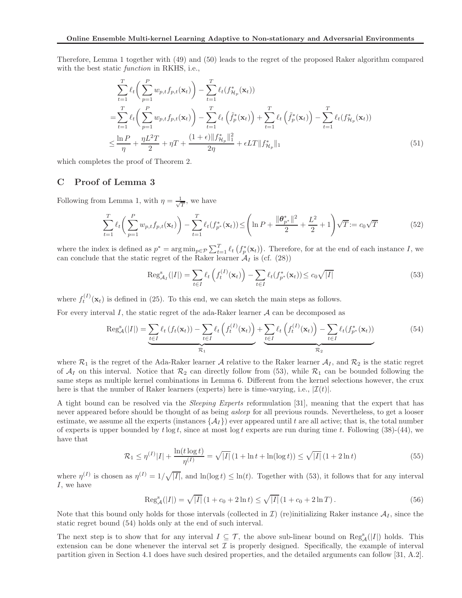Therefore, Lemma 1 together with (49) and (50) leads to the regret of the proposed Raker algorithm compared with the best static *function* in RKHS, i.e.,

$$
\sum_{t=1}^{T} \ell_{t} \left( \sum_{p=1}^{P} w_{p,t} f_{p,t}(\mathbf{x}_{t}) \right) - \sum_{t=1}^{T} \ell_{t} (f_{\mathcal{H}_{p}}^{*}(\mathbf{x}_{t}))
$$
\n
$$
= \sum_{t=1}^{T} \ell_{t} \left( \sum_{p=1}^{P} w_{p,t} f_{p,t}(\mathbf{x}_{t}) \right) - \sum_{t=1}^{T} \ell_{t} \left( \tilde{f}_{p}^{*}(\mathbf{x}_{t}) \right) + \sum_{t=1}^{T} \ell_{t} \left( \tilde{f}_{p}^{*}(\mathbf{x}_{t}) \right) - \sum_{t=1}^{T} \ell_{t} (f_{\mathcal{H}_{p}}^{*}(\mathbf{x}_{t}))
$$
\n
$$
\leq \frac{\ln P}{\eta} + \frac{\eta L^{2} T}{2} + \eta T + \frac{(1 + \epsilon) \| f_{\mathcal{H}_{p}}^{*} \|_{1}^{2}}{2\eta} + \epsilon L T \| f_{\mathcal{H}_{p}}^{*} \|_{1} \tag{51}
$$

which completes the proof of Theorem 2.

# C Proof of Lemma 3

Following from Lemma 1, with  $\eta = \frac{1}{\sqrt{2}}$  $\frac{1}{T}$ , we have

$$
\sum_{t=1}^{T} \ell_t \left( \sum_{p=1}^{P} w_{p,t} f_{p,t}(\mathbf{x}_t) \right) - \sum_{t=1}^{T} \ell_t (f_{p^*}^*(\mathbf{x}_t)) \le \left( \ln P + \frac{\|\boldsymbol{\theta}_{p^*}^*\|^2}{2} + \frac{L^2}{2} + 1 \right) \sqrt{T} := c_0 \sqrt{T}
$$
(52)

where the index is defined as  $p^* = \arg\min_{p \in \mathcal{P}} \sum_{t=1}^T \ell_t(f_p^*(\mathbf{x}_t))$ . Therefore, for at the end of each instance I, we can conclude that the static regret of the Raker learner  $A_I$  is (cf. (28))

$$
\operatorname{Reg}_{\mathcal{A}_I}^s(|I|) = \sum_{t \in I} \ell_t \left( f_t^{(I)}(\mathbf{x}_t) \right) - \sum_{t \in I} \ell_t(f_{p^*}^*(\mathbf{x}_t)) \le c_0 \sqrt{|I|}
$$
\n
$$
(53)
$$

where  $f_t^{(I)}(\mathbf{x}_t)$  is defined in (25). To this end, we can sketch the main steps as follows.

For every interval I, the static regret of the ada-Raker learner  $A$  can be decomposed as

$$
\operatorname{Reg}_{\mathcal{A}}^{s}(|I|) = \underbrace{\sum_{t \in I} \ell_{t} \left( f_{t}(\mathbf{x}_{t}) \right) - \sum_{t \in I} \ell_{t} \left( f_{t}^{(I)}(\mathbf{x}_{t}) \right)}_{\mathcal{R}_{1}} + \underbrace{\sum_{t \in I} \ell_{t} \left( f_{t}^{(I)}(\mathbf{x}_{t}) \right) - \sum_{t \in I} \ell_{t} \left( f_{p^{*}}^{*}(\mathbf{x}_{t}) \right)}_{\mathcal{R}_{2}}
$$
(54)

where  $\mathcal{R}_1$  is the regret of the Ada-Raker learner A relative to the Raker learner  $\mathcal{A}_I$ , and  $\mathcal{R}_2$  is the static regret of  $A_I$  on this interval. Notice that  $R_2$  can directly follow from (53), while  $R_1$  can be bounded following the same steps as multiple kernel combinations in Lemma 6. Different from the kernel selections however, the crux here is that the number of Raker learners (experts) here is time-varying, i.e.,  $|\mathcal{I}(t)|$ .

A tight bound can be resolved via the *Sleeping Experts* reformulation [31], meaning that the expert that has never appeared before should be thought of as being *asleep* for all previous rounds. Nevertheless, to get a looser estimate, we assume all the experts (instances  $\{\mathcal{A}_I\}$ ) ever appeared until t are all active; that is, the total number of experts is upper bounded by  $t \log t$ , since at most  $\log t$  experts are run during time t. Following (38)-(44), we have that

$$
\mathcal{R}_1 \le \eta^{(I)}|I| + \frac{\ln(t \log t)}{\eta^{(I)}} = \sqrt{|I|} \left(1 + \ln t + \ln(\log t)\right) \le \sqrt{|I|} \left(1 + 2\ln t\right) \tag{55}
$$

where  $\eta^{(I)}$  is chosen as  $\eta^{(I)} = 1/\sqrt{|I|}$ , and  $\ln(\log t) \leq \ln(t)$ . Together with (53), it follows that for any interval I, we have

$$
\operatorname{Reg}_{\mathcal{A}}^{s}(|I|) = \sqrt{|I|} \left(1 + c_0 + 2\ln t\right) \le \sqrt{|I|} \left(1 + c_0 + 2\ln T\right). \tag{56}
$$

Note that this bound only holds for those intervals (collected in  $\mathcal{I}$ ) (re)initializing Raker instance  $\mathcal{A}_I$ , since the static regret bound (54) holds only at the end of such interval.

The next step is to show that for any interval  $I \subseteq \mathcal{T}$ , the above sub-linear bound on  $\text{Reg}^s_{\mathcal{A}}(|I|)$  holds. This extension can be done whenever the interval set  $\mathcal I$  is properly designed. Specifically, the example of interval partition given in Section 4.1 does have such desired properties, and the detailed arguments can follow [31, A.2].